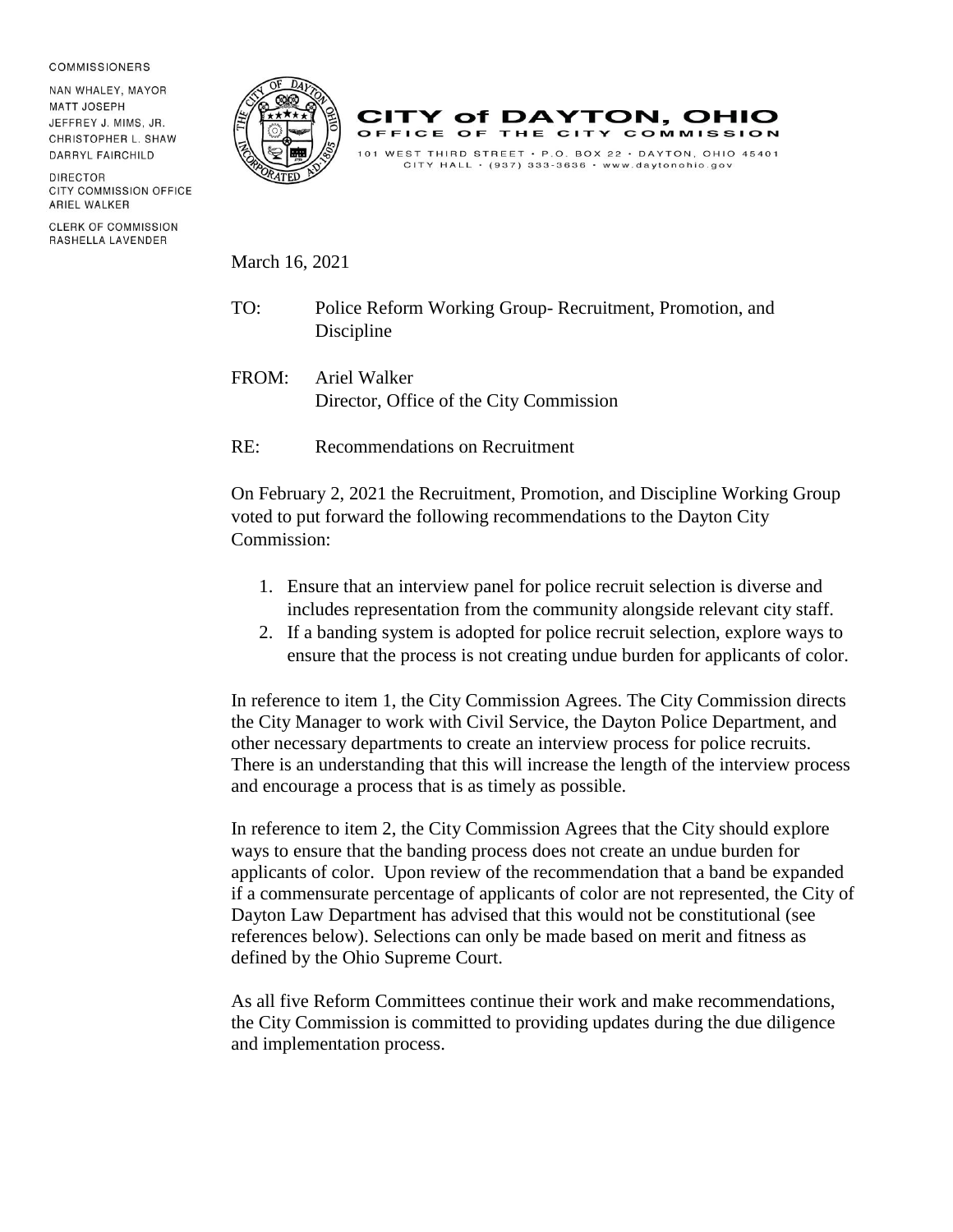## **COMMISSIONERS**

NAN WHALEY, MAYOR **MATT JOSEPH** JEFFREY J. MIMS, JR. CHRISTOPHER L. SHAW DARRYL FAIRCHILD

DIRECTOR CITY COMMISSION OFFICE ARIEL WALKER

**CLERK OF COMMISSION** RASHELLA LAVENDER





March 16, 2021

- TO: Police Reform Working Group- Recruitment, Promotion, and Discipline
- FROM: Ariel Walker Director, Office of the City Commission

RE: Recommendations on Recruitment

On February 2, 2021 the Recruitment, Promotion, and Discipline Working Group voted to put forward the following recommendations to the Dayton City Commission:

- 1. Ensure that an interview panel for police recruit selection is diverse and includes representation from the community alongside relevant city staff.
- 2. If a banding system is adopted for police recruit selection, explore ways to ensure that the process is not creating undue burden for applicants of color.

In reference to item 1, the City Commission Agrees. The City Commission directs the City Manager to work with Civil Service, the Dayton Police Department, and other necessary departments to create an interview process for police recruits. There is an understanding that this will increase the length of the interview process and encourage a process that is as timely as possible.

In reference to item 2, the City Commission Agrees that the City should explore ways to ensure that the banding process does not create an undue burden for applicants of color. Upon review of the recommendation that a band be expanded if a commensurate percentage of applicants of color are not represented, the City of Dayton Law Department has advised that this would not be constitutional (see references below). Selections can only be made based on merit and fitness as defined by the Ohio Supreme Court.

As all five Reform Committees continue their work and make recommendations, the City Commission is committed to providing updates during the due diligence and implementation process.